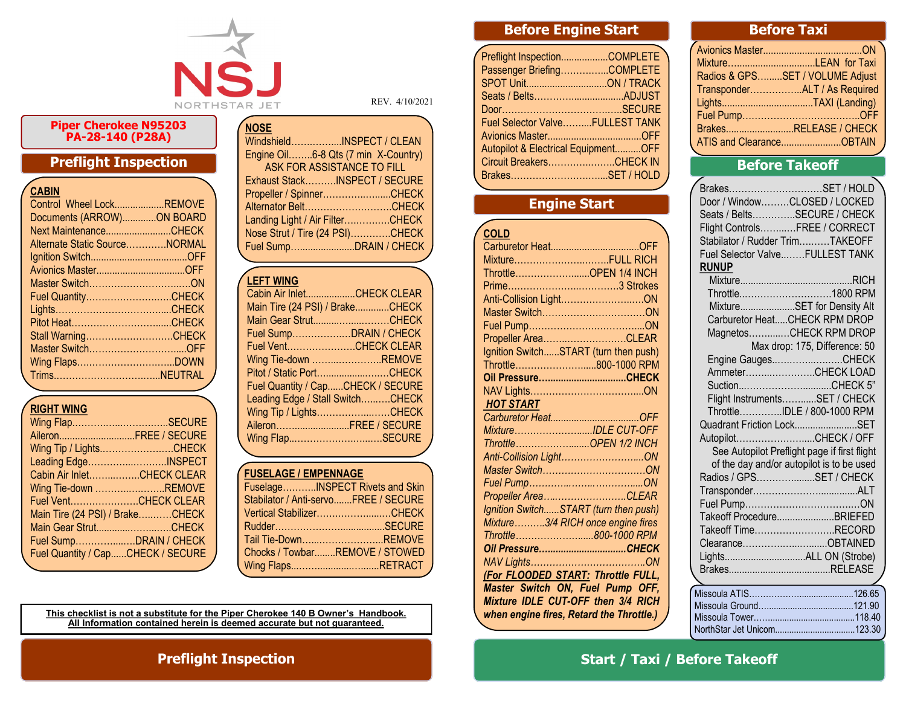

REV. 4/10/2021

#### **Piper Cherokee N95203 PA-28-140 (P28A)**

### **Preflight Inspection**

| <b>CABIN</b> |  |
|--------------|--|
|              |  |

| Control Wheel LockREMOVE      |  |
|-------------------------------|--|
| Documents (ARROW)ON BOARD     |  |
| Next MaintenanceCHECK         |  |
| Alternate Static SourceNORMAL |  |
|                               |  |
|                               |  |
|                               |  |
| Fuel QuantityCHECK            |  |
|                               |  |
|                               |  |
| Stall WarningCHECK            |  |
| Master SwitchOFF              |  |
|                               |  |
|                               |  |
|                               |  |

#### **RIGHT WING**

| Wing FlapSECURE                   |  |
|-----------------------------------|--|
| AileronFREE / SECURE              |  |
| Wing Tip / LightsCHECK            |  |
| Leading EdgeINSPECT               |  |
| Cabin Air InletCHECK CLEAR        |  |
| Wing Tie-down REMOVE              |  |
| Fuel VentCHECK CLEAR              |  |
| Main Tire (24 PSI) / BrakeCHECK   |  |
| Main Gear StrutCHECK              |  |
| Fuel SumpDRAIN / CHECK            |  |
| Fuel Quantity / CapCHECK / SECURE |  |
|                                   |  |

| WindshieldINSPECT / CLEAN           |  |
|-------------------------------------|--|
| Engine Oil6-8 Qts (7 min X-Country) |  |
| <b>ASK FOR ASSISTANCE TO FILL</b>   |  |
| Exhaust StackINSPECT / SECURE       |  |
| Propeller / SpinnerCHECK            |  |
| Alternator BeltCHECK                |  |
| Landing Light / Air FilterCHECK     |  |
| Nose Strut / Tire (24 PSI)CHECK     |  |
| Fuel SumpDRAIN / CHECK              |  |

#### $\sqrt{L}$ EFT WING

**NOSE**

| LLI I MINU                        |
|-----------------------------------|
| Cabin Air InletCHECK CLEAR        |
| Main Tire (24 PSI) / BrakeCHECK   |
| Main Gear StrutCHECK              |
| Fuel SumpDRAIN / CHECK            |
| Fuel VentCHECK CLEAR              |
| Wing Tie-down REMOVE              |
| Pitot / Static PortCHECK          |
| Fuel Quantity / CapCHECK / SECURE |
| Leading Edge / Stall SwitchCHECK  |
| Wing Tip / LightsCHECK            |
| AileronFREE / SECURE              |
| Wing FlapSECURE                   |
|                                   |

#### **FUSELAGE / EMPENNAGE**

| FuselageINSPECT Rivets and Skin      |  |
|--------------------------------------|--|
| Stabilator / Anti-servoFREE / SECURE |  |
| Vertical StabilizerCHECK             |  |
|                                      |  |
| Tail Tie-DownREMOVE                  |  |
| Chocks / TowbarREMOVE / STOWED       |  |
| Wing FlapsRETRACT                    |  |

**This checklist is not a substitute for the Piper Cherokee 140 B Owner's Handbook. All Information contained herein is deemed accurate but not guaranteed.**

# **Before Engine Start**

| Passenger BriefingCOMPLETE<br>Fuel Selector ValveFULLEST TANK<br>Autopilot & Electrical EquipmentOFF<br>Circuit BreakersCHECK IN<br>BrakesSET / HOLD | Preflight InspectionCOMPLETE |  |
|------------------------------------------------------------------------------------------------------------------------------------------------------|------------------------------|--|
|                                                                                                                                                      |                              |  |
|                                                                                                                                                      |                              |  |
|                                                                                                                                                      |                              |  |
|                                                                                                                                                      |                              |  |
|                                                                                                                                                      |                              |  |
|                                                                                                                                                      |                              |  |
|                                                                                                                                                      |                              |  |
|                                                                                                                                                      |                              |  |
|                                                                                                                                                      |                              |  |

## **Engine Start**

| <b>COLD</b>                              |
|------------------------------------------|
|                                          |
| MixtureFULL RICH                         |
| ThrottleOPEN 1/4 INCH                    |
|                                          |
| Anti-Collision LightON                   |
|                                          |
|                                          |
| Propeller AreaCLEAR                      |
| Ignition SwitchSTART (turn then push)    |
| Throttle800-1000 RPM                     |
|                                          |
|                                          |
| <b>HOT START</b>                         |
|                                          |
| MixtureIDLE CUT-OFF                      |
| ThrottleOPEN 1/2 INCH                    |
| Anti-Collision LightON                   |
|                                          |
|                                          |
| Propeller AreaCLEAR                      |
| Ignition SwitchSTART (turn then push)    |
| Mixture3/4 RICH once engine fires        |
| Throttle800-1000 RPM                     |
|                                          |
|                                          |
| (For FLOODED START: Throttle FULL,       |
| Master Switch ON, Fuel Pump OFF,         |
| Mixture IDLE CUT-OFF then 3/4 RICH       |
| when engine fires, Retard the Throttle.) |
|                                          |

#### **Before Taxi**

| Radios & GPSSET / VOLUME Adjust |
|---------------------------------|
| TransponderALT / As Required    |
|                                 |
|                                 |
| BrakesRELEASE / CHECK           |
| ATIS and ClearanceOBTAIN        |
|                                 |

### **Before Takeoff**

| Stabilator / Rudder TrimTAKEOFF | BrakesSET / HOLD<br>Door / WindowCLOSED / LOCKED<br>Seats / BeltsSECURE / CHECK<br>Flight ControlsFREE / CORRECT |
|---------------------------------|------------------------------------------------------------------------------------------------------------------|
|                                 | Fuel Selector ValveFULLEST TANK                                                                                  |
| <b>RUNUP</b>                    |                                                                                                                  |
|                                 |                                                                                                                  |
|                                 | Throttle1800 RPM                                                                                                 |
|                                 | MixtureSET for Density Alt                                                                                       |
|                                 | Carburetor HeatCHECK RPM DROP                                                                                    |
|                                 | MagnetosCHECK RPM DROP                                                                                           |
|                                 | Max drop: 175, Difference: 50                                                                                    |
|                                 | Engine GaugesCHECK                                                                                               |
|                                 | AmmeterCHECK LOAD                                                                                                |
|                                 | SuctionCHECK 5"                                                                                                  |
|                                 | Flight InstrumentsSET / CHECK                                                                                    |
|                                 | ThrottleIDLE / 800-1000 RPM                                                                                      |
|                                 | Quadrant Friction LockSET                                                                                        |
| AutopilotCHECK / OFF            |                                                                                                                  |
|                                 | See Autopilot Preflight page if first flight                                                                     |
|                                 | of the day and/or autopilot is to be used                                                                        |
|                                 | Radios / GPSSET / CHECK                                                                                          |
|                                 |                                                                                                                  |
|                                 |                                                                                                                  |
|                                 | Takeoff ProcedureBRIEFED                                                                                         |
|                                 | Takeoff TimeRECORD                                                                                               |
|                                 | ClearanceOBTAINED                                                                                                |
|                                 |                                                                                                                  |
|                                 |                                                                                                                  |
|                                 |                                                                                                                  |

### **Preflight Inspection Start / Taxi / Before Takeoff**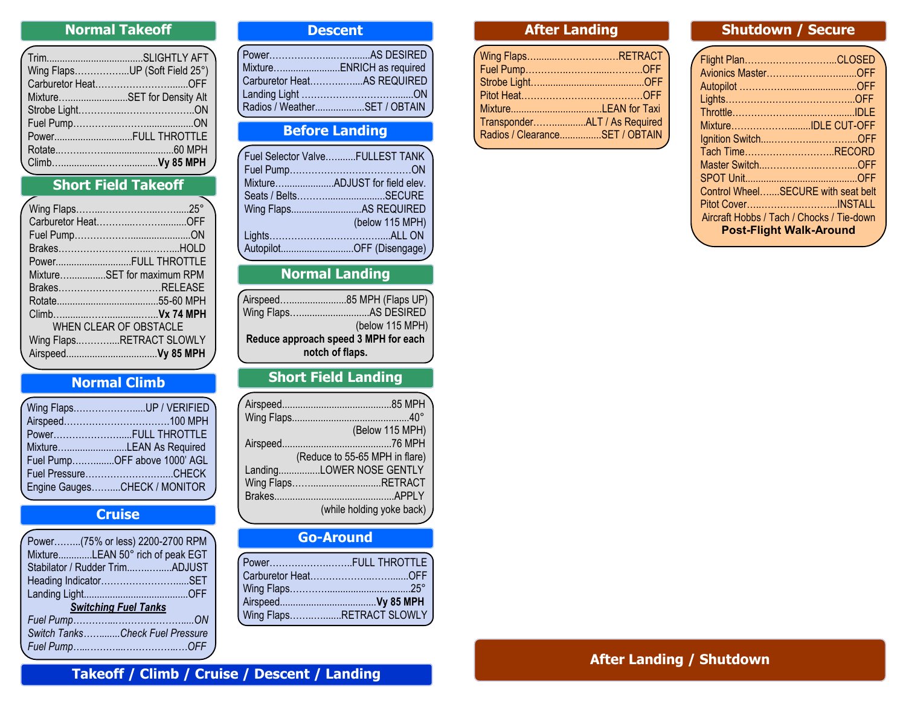### **Normal Takeoff**

| Wing FlapsUP (Soft Field 25°) |
|-------------------------------|
|                               |
| MixtureSET for Density Alt    |
|                               |
|                               |
| PowerFULL THROTTLE            |
|                               |
|                               |
|                               |

# **Short Field Takeoff**

| PowerFULL THROTTLE         |
|----------------------------|
| MixtureSET for maximum RPM |
| BrakesRELEASE              |
|                            |
|                            |
| WHEN CLEAR OF OBSTACLE     |
| Wing FlapsRETRACT SLOWLY   |
|                            |
|                            |

### **Normal Climb**

| Wing FlapsUP / VERIFIED      |
|------------------------------|
|                              |
| PowerFULL THROTTLE           |
| MixtureLEAN As Required      |
| Fuel PumpOFF above 1000' AGL |
| Fuel PressureCHECK           |
| Engine GaugesCHECK / MONITOR |
|                              |

### **Cruise**

|                             | Power(75% or less) 2200-2700 RPM |  |
|-----------------------------|----------------------------------|--|
|                             | MixtureLEAN 50° rich of peak EGT |  |
|                             | Stabilator / Rudder TrimADJUST   |  |
|                             | Heading IndicatorSET             |  |
|                             |                                  |  |
| <b>Switching Fuel Tanks</b> |                                  |  |
|                             |                                  |  |
|                             | Switch TanksCheck Fuel Pressure  |  |
|                             |                                  |  |

#### **Descent**

| Carburetor HeatAS REQUIRED |                                |
|----------------------------|--------------------------------|
|                            |                                |
|                            | Radios / WeatherSET / OBTAIN J |

### **Before Landing**

| Fuel Selector ValveFULLEST TANK |
|---------------------------------|
|                                 |
| MixtureADJUST for field elev.   |
|                                 |
| Wing FlapsAS REQUIRED           |
| (below 115 MPH)                 |
|                                 |
| AutopilotOFF (Disengage)        |
|                                 |

## **Normal Landing**

| Airspeed85 MPH (Flaps UP)            |
|--------------------------------------|
|                                      |
|                                      |
| (below 115 MPH)                      |
| Reduce approach speed 3 MPH for each |
| notch of flaps.                      |

# **Short Field Landing**

| (Below 115 MPH)                |
|--------------------------------|
|                                |
| (Reduce to 55-65 MPH in flare) |
| LandingLOWER NOSE GENTLY       |
| Wing FlapsRETRACT              |
|                                |
| (while holding yoke back)      |
|                                |

# **Go-Around**

| 「Power………………………FULL THROTTLE 】 |  |
|--------------------------------|--|
|                                |  |
|                                |  |
|                                |  |
| Wing FlapsRETRACT SLOWLY       |  |
|                                |  |

### **After Landing**

| Wing FlapsRETRACT              |  |
|--------------------------------|--|
|                                |  |
|                                |  |
|                                |  |
|                                |  |
|                                |  |
| Radios / ClearanceSET / OBTAIN |  |
|                                |  |

#### **Shutdown / Secure**

| Flight PlanCLOSED                         |  |
|-------------------------------------------|--|
| Avionics MasterOFF                        |  |
|                                           |  |
|                                           |  |
|                                           |  |
| MixtureIDLE CUT-OFF                       |  |
|                                           |  |
| Tach TimeRECORD                           |  |
|                                           |  |
|                                           |  |
| Control WheelSECURE with seat belt        |  |
|                                           |  |
| Aircraft Hobbs / Tach / Chocks / Tie-down |  |
| <b>Post-Flight Walk-Around</b>            |  |
|                                           |  |

### **After Landing / Shutdown**

#### **Takeoff / Climb / Cruise / Descent / Landing**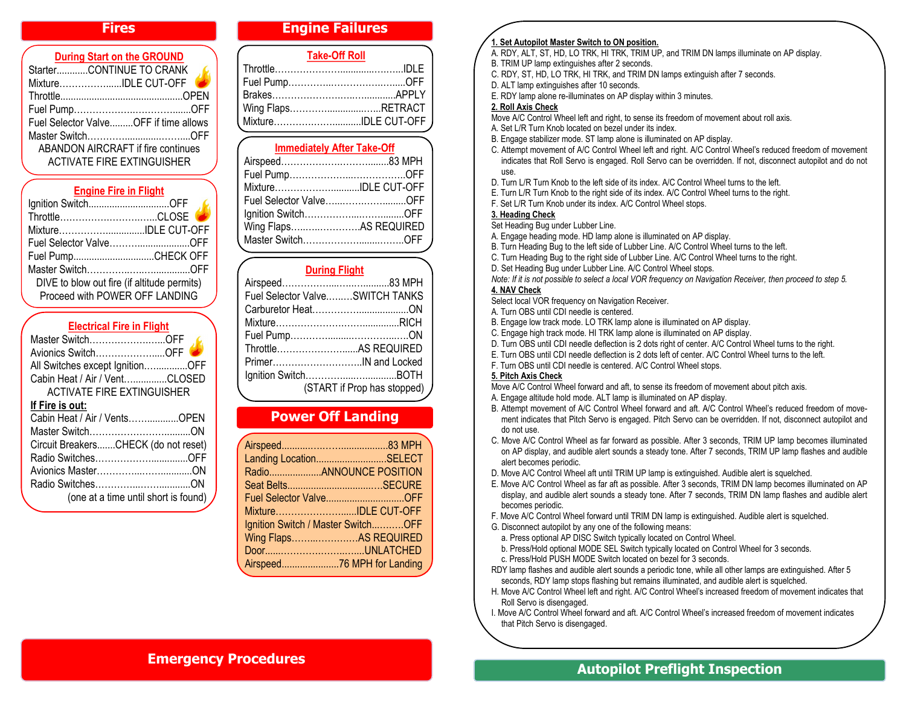#### **Fires**

| <b>During Start on the GROUND</b>         |   |
|-------------------------------------------|---|
| StarterCONTINUE TO CRANK                  |   |
| MixtureIDLE CUT-OFF                       | æ |
|                                           |   |
|                                           |   |
| Fuel Selector ValveOFF if time allows     |   |
|                                           |   |
| <b>ABANDON AIRCRAFT if fire continues</b> |   |
| <b>ACTIVATE FIRE EXTINGUISHER</b>         |   |
|                                           |   |

#### **Engine Fire in Flight**

| lgnition SwitchOFF<br>ThrottleCLOSE         |  |
|---------------------------------------------|--|
| MixtureIDLE CUT-OFF                         |  |
| Fuel Selector ValveOFF                      |  |
| Fuel PumpCHECK OFF                          |  |
|                                             |  |
| DIVE to blow out fire (if altitude permits) |  |
| Proceed with POWER OFF LANDING              |  |

#### **Electrical Fire in Flight**

|                 | Master SwitchOFF                     |  |
|-----------------|--------------------------------------|--|
|                 | Avionics SwitchOFF                   |  |
|                 | All Switches except IgnitionOFF      |  |
|                 | Cabin Heat / Air / VentCLOSED        |  |
|                 | ACTIVATE FIRE EXTINGUISHER           |  |
| If Fire is out: |                                      |  |
|                 | Cabin Heat / Air / VentsOPEN         |  |
|                 |                                      |  |
|                 | Circuit BreakersCHECK (do not reset) |  |
|                 | Radio SwitchesOFF                    |  |
|                 |                                      |  |
|                 |                                      |  |
|                 | (one at a time until short is found) |  |
|                 |                                      |  |

#### **Engine Failures**

| <b>Take-Off Roll</b> |  |  |
|----------------------|--|--|
|                      |  |  |
|                      |  |  |
|                      |  |  |
| Wing FlapsRETRACT    |  |  |
| MixtureIDLE CUT-OFF  |  |  |

### **Immediately After Take-Off**

| MixtureIDLE CUT-OFF    |  |
|------------------------|--|
| Fuel Selector ValveOFF |  |
|                        |  |
| Wing FlapsAS REQUIRED  |  |
|                        |  |

#### **During Flight**

|  | Fuel Selector ValveSWITCH TANKS |
|--|---------------------------------|
|  |                                 |
|  |                                 |
|  |                                 |
|  |                                 |
|  |                                 |
|  |                                 |
|  | (START if Prop has stopped)     |

#### **Power Off Landing**

| Landing LocationSELECT             |  |
|------------------------------------|--|
|                                    |  |
|                                    |  |
| Fuel Selector ValveOFF             |  |
| MixtureIDLE CUT-OFF                |  |
| Ignition Switch / Master SwitchOFF |  |
| Wing FlapsAS REQUIRED              |  |
| DoorUNLATCHED                      |  |
| Airspeed76 MPH for Landing         |  |
|                                    |  |

#### **1. Set Autopilot Master Switch to ON position.**

A. RDY, ALT, ST, HD, LO TRK, HI TRK, TRIM UP, and TRIM DN lamps illuminate on AP display. B. TRIM UP lamp extinguishes after 2 seconds.

- 
- C. RDY, ST, HD, LO TRK, HI TRK, and TRIM DN lamps extinguish after 7 seconds.
- D. ALT lamp extinguishes after 10 seconds.
- E. RDY lamp alone re-illuminates on AP display within 3 minutes.

#### **2. Roll Axis Check**

- Move A/C Control Wheel left and right, to sense its freedom of movement about roll axis.
- A. Set L/R Turn Knob located on bezel under its index.
- B. Engage stabilizer mode. ST lamp alone is illuminated on AP display.
- C. Attempt movement of A/C Control Wheel left and right. A/C Control Wheel's reduced freedom of movement indicates that Roll Servo is engaged. Roll Servo can be overridden. If not, disconnect autopilot and do not use.
- D. Turn L/R Turn Knob to the left side of its index. A/C Control Wheel turns to the left.
- E. Turn L/R Turn Knob to the right side of its index. A/C Control Wheel turns to the right.
- F. Set L/R Turn Knob under its index. A/C Control Wheel stops.

#### **3. Heading Check**

Set Heading Bug under Lubber Line.

- A. Engage heading mode. HD lamp alone is illuminated on AP display.
- B. Turn Heading Bug to the left side of Lubber Line. A/C Control Wheel turns to the left.
- C. Turn Heading Bug to the right side of Lubber Line. A/C Control Wheel turns to the right.
- D. Set Heading Bug under Lubber Line. A/C Control Wheel stops.

*Note: If it is not possible to select a local VOR frequency on Navigation Receiver, then proceed to step 5.* **4. NAV Check**

Select local VOR frequency on Navigation Receiver.

- A. Turn OBS until CDI needle is centered.
- B. Engage low track mode. LO TRK lamp alone is illuminated on AP display.
- C. Engage high track mode. HI TRK lamp alone is illuminated on AP display.
- D. Turn OBS until CDI needle deflection is 2 dots right of center. A/C Control Wheel turns to the right.
- E. Turn OBS until CDI needle deflection is 2 dots left of center. A/C Control Wheel turns to the left.
- F. Turn OBS until CDI needle is centered. A/C Control Wheel stops.

#### **5. Pitch Axis Check**

- Move A/C Control Wheel forward and aft, to sense its freedom of movement about pitch axis.
- A. Engage altitude hold mode. ALT lamp is illuminated on AP display.
- B. Attempt movement of A/C Control Wheel forward and aft. A/C Control Wheel's reduced freedom of movement indicates that Pitch Servo is engaged. Pitch Servo can be overridden. If not, disconnect autopilot and do not use.
- C. Move A/C Control Wheel as far forward as possible. After 3 seconds, TRIM UP lamp becomes illuminated on AP display, and audible alert sounds a steady tone. After 7 seconds, TRIM UP lamp flashes and audible alert becomes periodic.
- D. Move A/C Control Wheel aft until TRIM UP lamp is extinguished. Audible alert is squelched.
- E. Move A/C Control Wheel as far aft as possible. After 3 seconds, TRIM DN lamp becomes illuminated on AP display, and audible alert sounds a steady tone. After 7 seconds, TRIM DN lamp flashes and audible alert becomes periodic.
- F. Move A/C Control Wheel forward until TRIM DN lamp is extinguished. Audible alert is squelched.
- G. Disconnect autopilot by any one of the following means:
	- a. Press optional AP DISC Switch typically located on Control Wheel.
- b. Press/Hold optional MODE SEL Switch typically located on Control Wheel for 3 seconds.
- c. Press/Hold PUSH MODE Switch located on bezel for 3 seconds.
- RDY lamp flashes and audible alert sounds a periodic tone, while all other lamps are extinguished. After 5 seconds, RDY lamp stops flashing but remains illuminated, and audible alert is squelched.
- H. Move A/C Control Wheel left and right. A/C Control Wheel's increased freedom of movement indicates that Roll Servo is disengaged.
- I. Move A/C Control Wheel forward and aft. A/C Control Wheel's increased freedom of movement indicates that Pitch Servo is disengaged.

### **Emergency Procedures**

### **Autopilot Preflight Inspection**